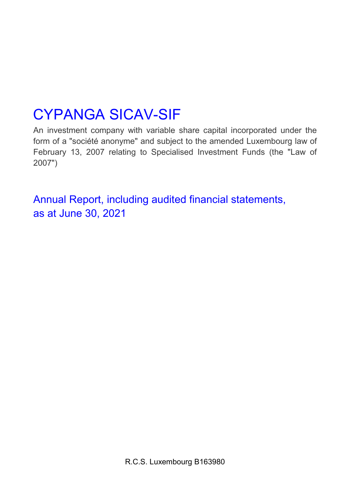An investment company with variable share capital incorporated under the form of a "société anonyme" and subject to the amended Luxembourg law of February 13, 2007 relating to Specialised Investment Funds (the "Law of 2007")

Annual Report, including audited financial statements, as at June 30, 2021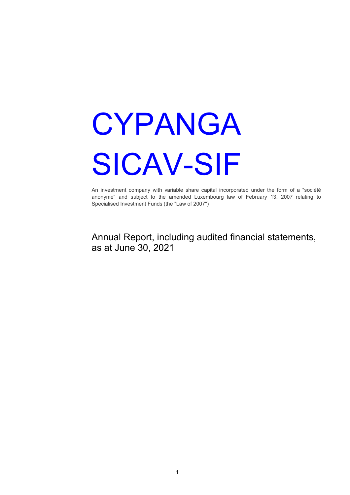An investment company with variable share capital incorporated under the form of a "société anonyme" and subject to the amended Luxembourg law of February 13, 2007 relating to Specialised Investment Funds (the "Law of 2007")

Annual Report, including audited financial statements, as at June 30, 2021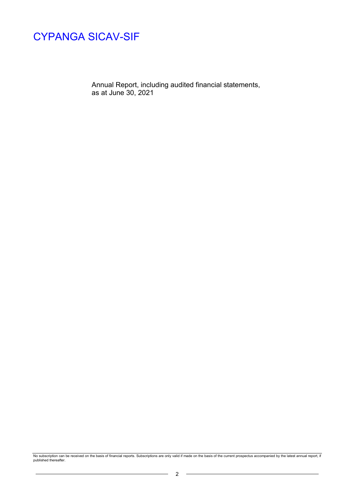Annual Report, including audited financial statements, as at June 30, 2021

No subscription can be received on the basis of financial reports. Subscriptions are only valid if made on the basis of the current prospectus accompanied by the latest annual report, if published thereafter.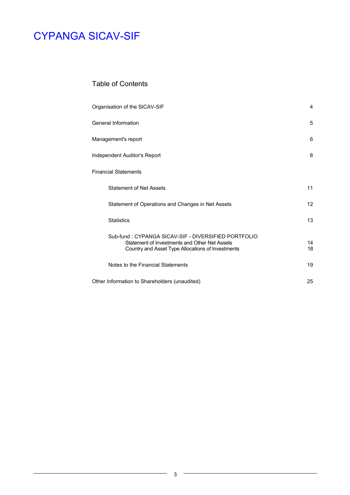### Table of Contents

| Organisation of the SICAV-SIF                                                                                                                             | 4        |
|-----------------------------------------------------------------------------------------------------------------------------------------------------------|----------|
| General Information                                                                                                                                       | 5        |
| Management's report                                                                                                                                       | 6        |
| Independent Auditor's Report                                                                                                                              | 8        |
| <b>Financial Statements</b>                                                                                                                               |          |
| <b>Statement of Net Assets</b>                                                                                                                            | 11       |
| Statement of Operations and Changes in Net Assets                                                                                                         | 12       |
| <b>Statistics</b>                                                                                                                                         | 13       |
| Sub-fund: CYPANGA SICAV-SIF - DIVERSIFIED PORTEOLIO<br>Statement of Investments and Other Net Assets<br>Country and Asset Type Allocations of Investments | 14<br>18 |
| Notes to the Financial Statements                                                                                                                         | 19       |
| Other Information to Shareholders (unaudited)                                                                                                             | 25       |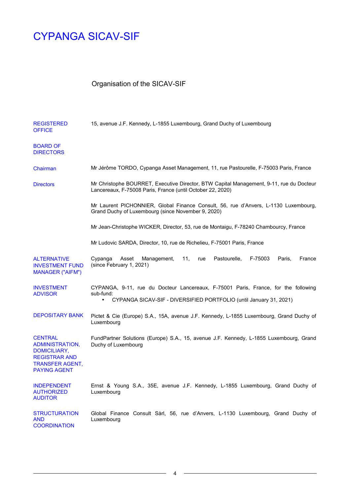## Organisation of the SICAV-SIF

| <b>REGISTERED</b><br><b>OFFICE</b>                                                                                         | 15, avenue J.F. Kennedy, L-1855 Luxembourg, Grand Duchy of Luxembourg                                                                                                              |
|----------------------------------------------------------------------------------------------------------------------------|------------------------------------------------------------------------------------------------------------------------------------------------------------------------------------|
| <b>BOARD OF</b><br><b>DIRECTORS</b>                                                                                        |                                                                                                                                                                                    |
| Chairman                                                                                                                   | Mr Jérôme TORDO, Cypanga Asset Management, 11, rue Pastourelle, F-75003 Paris, France                                                                                              |
| <b>Directors</b>                                                                                                           | Mr Christophe BOURRET, Executive Director, BTW Capital Management, 9-11, rue du Docteur<br>Lancereaux, F-75008 Paris, France (until October 22, 2020)                              |
|                                                                                                                            | Mr Laurent PICHONNIER, Global Finance Consult, 56, rue d'Anvers, L-1130 Luxembourg,<br>Grand Duchy of Luxembourg (since November 9, 2020)                                          |
|                                                                                                                            | Mr Jean-Christophe WICKER, Director, 53, rue de Montaigu, F-78240 Chambourcy, France                                                                                               |
|                                                                                                                            | Mr Ludovic SARDA, Director, 10, rue de Richelieu, F-75001 Paris, France                                                                                                            |
| <b>ALTERNATIVE</b><br><b>INVESTMENT FUND</b><br><b>MANAGER ("AIFM")</b>                                                    | Cypanga<br>Management,<br>11,<br>Pastourelle,<br>F-75003<br>France<br>Asset<br>Paris,<br>rue<br>(since February 1, 2021)                                                           |
| <b>INVESTMENT</b><br><b>ADVISOR</b>                                                                                        | CYPANGA, 9-11, rue du Docteur Lancereaux, F-75001 Paris, France, for the following<br>sub-fund:<br>CYPANGA SICAV-SIF - DIVERSIFIED PORTFOLIO (until January 31, 2021)<br>$\bullet$ |
| <b>DEPOSITARY BANK</b>                                                                                                     | Pictet & Cie (Europe) S.A., 15A, avenue J.F. Kennedy, L-1855 Luxembourg, Grand Duchy of<br>Luxembourg                                                                              |
| <b>CENTRAL</b><br>ADMINISTRATION,<br>DOMICILIARY,<br><b>REGISTRAR AND</b><br><b>TRANSFER AGENT,</b><br><b>PAYING AGENT</b> | FundPartner Solutions (Europe) S.A., 15, avenue J.F. Kennedy, L-1855 Luxembourg, Grand<br>Duchy of Luxembourg                                                                      |
| <b>INDEPENDENT</b><br><b>AUTHORIZED</b><br><b>AUDITOR</b>                                                                  | Ernst & Young S.A., 35E, avenue J.F. Kennedy, L-1855 Luxembourg, Grand Duchy of<br>Luxembourg                                                                                      |
| <b>STRUCTURATION</b><br><b>AND</b><br><b>COORDINATION</b>                                                                  | Global Finance Consult Sàrl, 56, rue d'Anvers, L-1130 Luxembourg, Grand Duchy of<br>Luxembourg                                                                                     |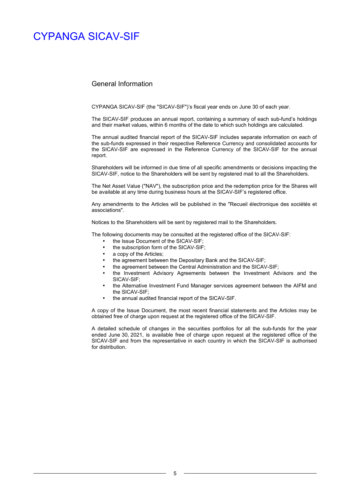### General Information

CYPANGA SICAV-SIF (the "SICAV-SIF")'s fiscal year ends on June 30 of each year.

The SICAV-SIF produces an annual report, containing a summary of each sub-fund's holdings and their market values, within 6 months of the date to which such holdings are calculated.

The annual audited financial report of the SICAV-SIF includes separate information on each of the sub-funds expressed in their respective Reference Currency and consolidated accounts for the SICAV-SIF are expressed in the Reference Currency of the SICAV-SIF for the annual report.

Shareholders will be informed in due time of all specific amendments or decisions impacting the SICAV-SIF, notice to the Shareholders will be sent by registered mail to all the Shareholders.

The Net Asset Value ("NAV"), the subscription price and the redemption price for the Shares will be available at any time during business hours at the SICAV-SIF's registered office.

Any amendments to the Articles will be published in the "Recueil électronique des sociétés et associations".

Notices to the Shareholders will be sent by registered mail to the Shareholders.

The following documents may be consulted at the registered office of the SICAV-SIF:

- the Issue Document of the SICAV-SIF;
- the subscription form of the SICAV-SIF;
- a copy of the Articles;
- the agreement between the Depositary Bank and the SICAV-SIF;
- the agreement between the Central Administration and the SICAV-SIF;
- the Investment Advisory Agreements between the Investment Advisors and the SICAV-SIF;
- the Alternative Investment Fund Manager services agreement between the AIFM and the SICAV-SIF;
- the annual audited financial report of the SICAV-SIF.

A copy of the Issue Document, the most recent financial statements and the Articles may be obtained free of charge upon request at the registered office of the SICAV-SIF.

A detailed schedule of changes in the securities portfolios for all the sub-funds for the year ended June 30, 2021, is available free of charge upon request at the registered office of the SICAV-SIF and from the representative in each country in which the SICAV-SIF is authorised for distribution.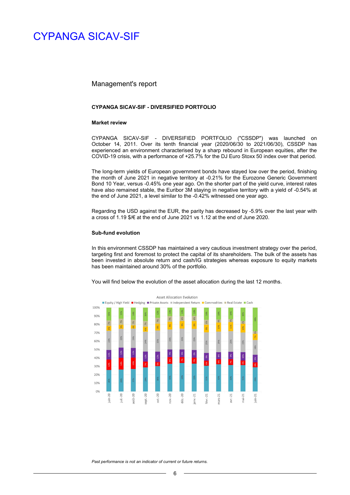#### Management's report

#### **CYPANGA SICAV-SIF - DIVERSIFIED PORTFOLIO**

#### **Market review**

CYPANGA SICAV-SIF - DIVERSIFIED PORTFOLIO ("CSSDP") was launched on October 14, 2011. Over its tenth financial year (2020/06/30 to 2021/06/30), CSSDP has experienced an environment characterised by a sharp rebound in European equities, after the COVID-19 crisis, with a performance of +25.7% for the DJ Euro Stoxx 50 index over that period.

The long-term yields of European government bonds have stayed low over the period, finishing the month of June 2021 in negative territory at -0.21% for the Eurozone Generic Government Bond 10 Year, versus -0.45% one year ago. On the shorter part of the yield curve, interest rates have also remained stable, the Euribor 3M staying in negative territory with a yield of -0.54% at the end of June 2021, a level similar to the -0.42% witnessed one year ago.

Regarding the USD against the EUR, the parity has decreased by -5.9% over the last year with a cross of 1.19 \$/€ at the end of June 2021 vs 1.12 at the end of June 2020.

#### **Sub-fund evolution**

In this environment CSSDP has maintained a very cautious investment strategy over the period, targeting first and foremost to protect the capital of its shareholders. The bulk of the assets has been invested in absolute return and cash/IG strategies whereas exposure to equity markets has been maintained around 30% of the portfolio.



You will find below the evolution of the asset allocation during the last 12 months.

*Past performance is not an indicator of current or future returns.*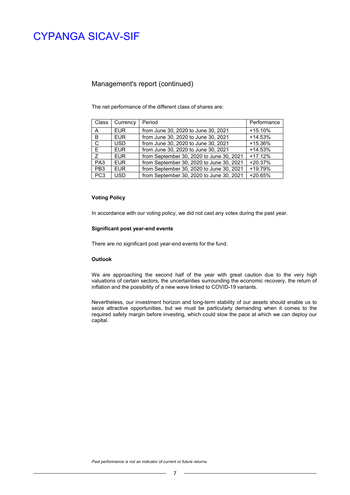### Management's report (continued)

The net performance of the different class of shares are:

| Class           | Currency   | Period                                   | Performance |
|-----------------|------------|------------------------------------------|-------------|
| A               | <b>EUR</b> | from June 30, 2020 to June 30, 2021      | $+15.10%$   |
| B               | <b>EUR</b> | from June 30, 2020 to June 30, 2021      | $+14.53%$   |
| C.              | <b>USD</b> | from June 30, 2020 to June 30, 2021      | $+15.36%$   |
| E               | <b>FUR</b> | from June 30, 2020 to June 30, 2021      | $+14.53%$   |
| $\overline{z}$  | <b>EUR</b> | from September 30, 2020 to June 30, 2021 | $+17.12%$   |
| PA <sub>3</sub> | <b>EUR</b> | from September 30, 2020 to June 30, 2021 | $+20.37%$   |
| PB <sub>3</sub> | <b>EUR</b> | from September 30, 2020 to June 30, 2021 | +19.79%     |
| PC <sub>3</sub> | <b>USD</b> | from September 30, 2020 to June 30, 2021 | +20.65%     |

#### **Voting Policy**

In accordance with our voting policy, we did not cast any votes during the past year.

#### **Significant post year-end events**

There are no significant post year-end events for the fund.

#### **Outlook**

We are approaching the second half of the year with great caution due to the very high valuations of certain sectors, the uncertainties surrounding the economic recovery, the return of inflation and the possibility of a new wave linked to COVID-19 variants.

Nevertheless, our investment horizon and long-term stability of our assets should enable us to seize attractive opportunities, but we must be particularly demanding when it comes to the required safety margin before investing, which could slow the pace at which we can deploy our capital.

*Past performance is not an indicator of current or future returns.*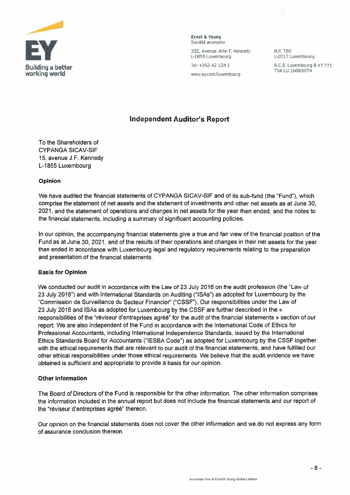

**Ernst & Young Ernst & Young**  Societe anonyme Société anonyme

35E, Avenue John F. Kennedy 35E, Avenue John F. Kennedy L-1855 Luxembourg L-1855 Luxembourg

Tel: +352421241 Tel: +352 42 124 1

www.ey.com/luxembourg www.ey.com/luxembourg

B.P.780 B.P. 780 L-2017 Luxembourg L-2017 Luxembourg

R.C.S. Luxembourg B 47 771 R.C.S. Luxembourg B 47 771 TVA LU 16063074 TVA LU 16063074

### **Independent Auditor's Report Independent Auditor's Report**

To the Shareholders of To the Shareholders of CYPANGA SICAV-SIF CYPANGA SICAV-SIF 15, avenue J.F. Kennedy 15, avenue J.F. Kennedy L-1855 Luxembourg L-1855 Luxembourg

**Opinion Opinion** 

We have audited the financial statements of CYPANGA SICAV-SIF and of its sub-fund (the "Fund"), which We have audited the financial statements of CYPANGA SICAV-SIF and of ils sub-fund (the "Fund"), which comprise the statement of net assets and the statement of investments and other net assets as at June 30, comprise the statement of net asses and the statement of investments and other net assets as at June 30, 2021, and the statement of operations and changes in net assets for the year then ended, and the notes to 2021, and the statement of Operations and changes in net asses for the year then ended, and the notes to the financial statements, including a summary of significant accounting policies.

In our opinion, the accompanying financial statements give <sup>a</sup> true and fair view of the financial position of the ln Our opinion, the accompanying financial statements give a rue and fait view of the financial position of the Fund as at June 30,2021, and of the results of their operations and changes in their net assets for the year Fund as et June 30, 2021, and of the results of their Operations and changes in their net assets for the year then ended in accordance with Luxembourg legal and regulatory requirements relating to the preparation and presentation of the financial statements. and presentation of the financial statements.

#### **Basis for Opinion Basis for Opinion**

We conducted our audit in accordance with the Law of 23 July 2016 on the audit profession (the "Law of 23 July 2016") and with International Standards on Auditing ("ISAs") as adopted for Luxembourg by the "Commission de Surveillance du Secteur Financier" ("CSSF"). Our responsibilities under the Law of "Commission de Surveillance du Secteur Financier" ("CSSF"). Our responsibilities Under the Law of 23 July 2016 and ISAs as adopted for Luxembourg by the CSSF are further described in the « responsibilities of the "réviseur d'entreprises agréé" for the audit of the financial statements » section of our report. We are also independent of the Fund in accordance with the International Code of Ethics for Professional Accountants, including International Independence Standards, issued by the International Professional Accountants, including International Independence Standards, issued by the International Ethics Standards Board for Accountants ("IESBA Code") as adopted for Luxembourg by the CSSF together Et fics Standards Board for Accountants ("IESBA Code") as adopted for Luxembourg by the CSSF together with the ethical requirements that are relevant to our audit of the financial statements, and have fulfilled our other ethical responsibilities under those ethical requirements. We believe that the audit evidence we have other ethical responsibilities Under those ethical requirements. We believe that the audit evidence we have obtained is sufficient and appropriate to provide <sup>a</sup> basis for our opinion. obtained Is sufficient and appropriate to provide a basis for Our opinion.

#### **Other information Other information**

The Board of Directors of the Fund is responsible for the other information. The other information comprises The Board of Directors of the Fund Is responsible for the other information. The other information comprises the information included in the annual report but does not include the financial statements and our report of the information included in the annuel report but dues not include the financial statements and Our report of the "réviseur d'entreprises agréé" thereon.

Our opinion on the financial statements does not cover the other information and we do not express any form Our opinion on the Financial statements dues not cuver the other information and we do not express any form of assurance conclusion thereon. of assurance conclusion thereon.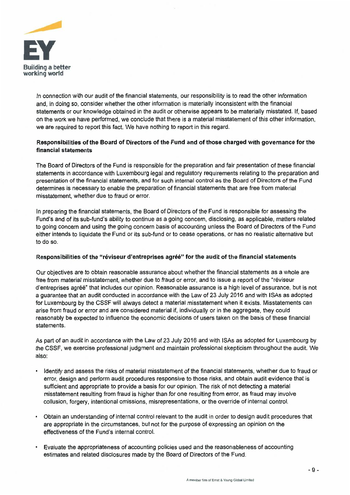

In connection with our audit of the financial statements, our responsibility is to read the other information ln correction with Our audit of the financial statements, Our responsibility Is to lead the other information and, in doing so, consider whether the other information is materially inconsistent with the financial and, in doing se, consider whether the other information Is materially inconsistent with the financial statements or our knowledge obtained in the audit or otherwise appears to be materially misstated. If, based statements or Our knowledge obtained in the audit or otherwise appeau to be materially misstated. If, based on the work we have performed, we conclude that there is <sup>a</sup> material misstatement of this other information, on the work we have performed, we conclude that there Is a material misstatement of this oter information, we are required to report this fact. We have nothing to report in this regard. we are required to report this tact. We have nothing to report in this regard.

### Responsibilities of the Board of Directors of the Fund and of those charged with governance for the financial statements **financial statements**

The Board of Directors of the Fund is responsible for the preparation and fair presentation of these financial The Board of Directors of the Fund Is responsible for the preparation and fait presentation of these financial statements in accordance with Luxembourg legal and regulatory requirements relating to the preparation and statements in accordance with Luxembourg legal and regulatory requirements relating to the preparation and presentation of the financial statements, and for such internal control as the Board of Directors of the Fund presentation of the financial statements, and for such infernal control as the Board of Directors of the Fund determines is necessary to enable the preparation of financial statements that are free from material determines Is necessary to erable the preparation of financial statements that are free rom material misstatement, whether due to fraud or error. misstatement, whether due to fraud or errer.

In preparing the financial statements, the Board of Directors of the Fund is responsible for assessing the In preparing the financial statements, the Board of Directors of the Fund Is responsible for assessing the Fund's and of its sub-fund's ability to continue as <sup>a</sup> going concern, disclosing, as applicable, matters related Fund's and of ils sub-fund's ability to continue as a going concerne, disclosing, as applicable, natters related to going concern and using the going concern basis of accounting unless the Board of Directors of the Fund either intends to liquidate the Fund or its sub-fund or to cease operations, or has no realistic alternative but to do so. to do se.

### Responsibilities of the "réviseur d'entreprises agréé" for the audit of the financial statements

Our objectives are to obtain reasonable assurance about whether the financial statements as <sup>a</sup> whole are Our objectives are to obtain reasonable assurance about whether the financial statements as a whole are free from material misstatement, whether due to fraud or error, and to issue <sup>a</sup> report of the "reviseur free rom material misstatement, whether due to fraud or errer, and to issue a report of the "réviseur d'entreprises agree" that includes our opinion. Reasonable assurance is <sup>a</sup> high level of assurance, but is not d'entreprises agréé" that includes Our opinion. Reasonable assurance Is a high level of assurance, but Is not a guarantee that an audit conducted in accordance with the Law of 23 July 2016 and with ISAs as adopted for Luxembourg by the CSSF will always detect <sup>a</sup> material misstatement when it exists. Misstatements can for Luxembourg by the CSSF Will always detect a material misstatement when It exists. Misstatements car arise from fraud or error and are considered material if, individually or in the aggregate, they could arise rom fraud or errer and are considered material if, individually or in the aggregate, they could reasonably be expected to influence the economic decisions of users taken on the basis of these financial reasonably be expected to influence the economic decisions of users taken on the basis of these financial statements. statements.

As part of an audit in accordance with the Law of <sup>23</sup> July <sup>2016</sup> and with ISAs as adopted for Luxembourg by As part of an audit in accordance with the Law of 23 July 2016 and with ISAs as adopted for Luxembourg by the CSSF, we exercise professional judgment and maintain professional skepticism throughout the audit. We the CSSF, we exercise professional judgment and maintain professional skepticism throughout the audit. We also: also:

- $\bullet$ Identify and assess the risks of material misstatement of the financial statements, whether due to fraud or error, design and perform audit procedures responsive to those risks, and obtain audit evidence that is sufficient and appropriate to provide <sup>a</sup> basis for our opinion. The risk of not detecting <sup>a</sup> material sufficient and appropriate to provide a basis for Our opinion. The risk of not detecting a material misstatement resulting from fraud is higher than for one resulting from error, as fraud may involve misstatement resulting rom fraud Is figer thon for one resulting rom errer, as fraud May if volve collusion, forgery, intentional omissions, misrepresentations, or the override of internal control. collusion, forgery, intentional omissions, misrepresentations, or the override of infernal control.
- • Obtain an understanding of internal control relevant to the audit in order to design audit procedures that Obtain an understanding of infernal control relevant to the audit in arder to design audit procedures that are appropriate in the circumstances, but not for the purpose of expressing an opinion on the are appropriate in the circumstances, but not for the purpose of expressing an opinion on the effectiveness of the Fund's internal control. effectiveness of the Fund's infernal control.
- Evaluate the appropriateness of accounting policies used and the reasonableness of accounting Evaluate the appropriateness of accounting policies used and the reasonableness of accounting estimates and related disclosures made by the Board of Directors of the Fund.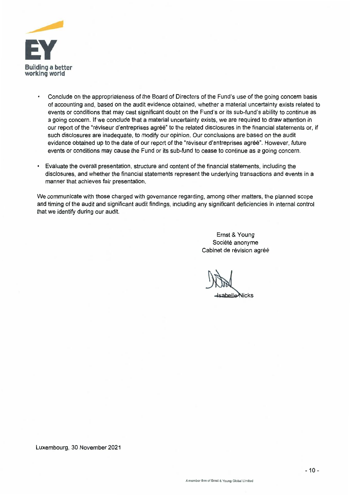

- $\bullet$ Conclude on the appropriateness of the Board of Directors of the Fund's use of the going concern basis of accounting and, based on the audit evidence obtained, whether <sup>a</sup> material uncertainty exists related to of accounting and, based on the audit evidence obtained, whether a material uncertainty exists related to events or conditions that may cast significant doubt on the Fund's or its sub-fund's ability to continue as a going concern. If we conclude that a material uncertainty exists, we are required to draw attention in our report of the "réviseur d'entreprises agréé" to the related disclosures in the financial statements or, if such disclosures are inadequate, to modify our opinion. Our conclusions are based on the audit evidence obtained up to the date of our report of the "réviseur d'entreprises agréé". However, future events or conditions may cause the Fund or its sub-fund to cease to continue as a going concern.
- Evaluate the overall presentation, structure and content of the financial statements, including the Evaluate the overall presentation, structure and content of the financial statements, including the disclosures, and whether the financial statements represent the underlying transactions and events in <sup>a</sup> disclosures, and whether the financial statements represent the underlying transactions and everts in a manner that achieves fair presentation. manner that achieves fait presentation.

We communicate with those charged with governance regarding, among other matters, the planned scope and timing of the audit and significant audit findings, including any significant deficiencies in internal control that we identify during our audit. that we identifie during Our audit.

> Ernst & Young Société anonyme Cabinet de révision agréé

 $\rightarrow$ 

Luxembourg, 30 November 2021 Luxembourg, 30 November 2021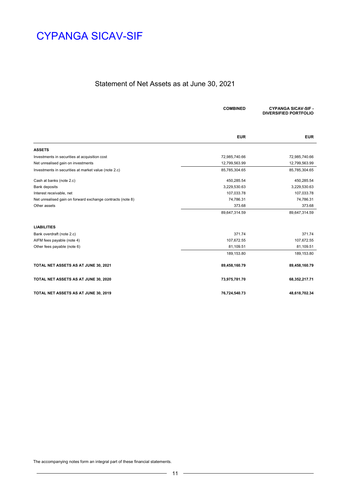### Statement of Net Assets as at June 30, 2021

|                                                            | <b>COMBINED</b> | <b>CYPANGA SICAV-SIF -</b><br><b>DIVERSIFIED PORTFOLIO</b> |
|------------------------------------------------------------|-----------------|------------------------------------------------------------|
|                                                            |                 |                                                            |
|                                                            | <b>EUR</b>      | <b>EUR</b>                                                 |
| <b>ASSETS</b>                                              |                 |                                                            |
| Investments in securities at acquisition cost              | 72,985,740.66   | 72,985,740.66                                              |
| Net unrealised gain on investments                         | 12,799,563.99   | 12,799,563.99                                              |
| Investments in securities at market value (note 2.c)       | 85,785,304.65   | 85,785,304.65                                              |
| Cash at banks (note 2.c)                                   | 450,285.54      | 450,285.54                                                 |
| <b>Bank deposits</b>                                       | 3,229,530.63    | 3,229,530.63                                               |
| Interest receivable, net                                   | 107,033.78      | 107,033.78                                                 |
| Net unrealised gain on forward exchange contracts (note 8) | 74,786.31       | 74,786.31                                                  |
| Other assets                                               | 373.68          | 373.68                                                     |
|                                                            | 89,647,314.59   | 89,647,314.59                                              |
| <b>LIABILITIES</b>                                         |                 |                                                            |
| Bank overdraft (note 2.c)                                  | 371.74          | 371.74                                                     |
| AIFM fees payable (note 4)                                 | 107,672.55      | 107,672.55                                                 |
| Other fees payable (note 6)                                | 81,109.51       | 81,109.51                                                  |
|                                                            | 189, 153.80     | 189,153.80                                                 |
| TOTAL NET ASSETS AS AT JUNE 30, 2021                       | 89,458,160.79   | 89,458,160.79                                              |
| TOTAL NET ASSETS AS AT JUNE 30, 2020                       | 73,975,781.70   | 68,352,217.71                                              |
| TOTAL NET ASSETS AS AT JUNE 30, 2019                       | 76,724,540.73   | 48,618,702.34                                              |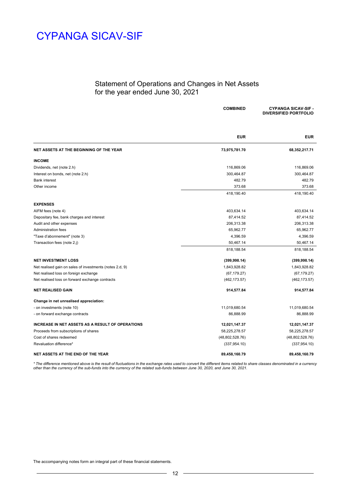### Statement of Operations and Changes in Net Assets for the year ended June 30, 2021

|                                                          | <b>COMBINED</b> | <b>CYPANGA SICAV-SIF -</b><br><b>DIVERSIFIED PORTFOLIO</b> |
|----------------------------------------------------------|-----------------|------------------------------------------------------------|
|                                                          | <b>EUR</b>      | <b>EUR</b>                                                 |
| NET ASSETS AT THE BEGINNING OF THE YEAR                  | 73,975,781.70   | 68,352,217.71                                              |
| <b>INCOME</b>                                            |                 |                                                            |
| Dividends, net (note 2.h)                                | 116,869.06      | 116,869.06                                                 |
| Interest on bonds, net (note 2.h)                        | 300,464.87      | 300,464.87                                                 |
| <b>Bank interest</b>                                     | 482.79          | 482.79                                                     |
| Other income                                             | 373.68          | 373.68                                                     |
|                                                          | 418,190.40      | 418,190.40                                                 |
| <b>EXPENSES</b>                                          |                 |                                                            |
| AIFM fees (note 4)                                       | 403,634.14      | 403,634.14                                                 |
| Depositary fee, bank charges and interest                | 87,414.52       | 87,414.52                                                  |
| Audit and other expenses                                 | 206,313.38      | 206,313.38                                                 |
| Administration fees                                      | 65,962.77       | 65,962.77                                                  |
| "Taxe d'abonnement" (note 3)                             | 4,396.59        | 4,396.59                                                   |
| Transaction fees (note 2.j)                              | 50,467.14       | 50,467.14                                                  |
|                                                          | 818,188.54      | 818,188.54                                                 |
| <b>NET INVESTMENT LOSS</b>                               | (399, 998.14)   | (399, 998.14)                                              |
| Net realised gain on sales of investments (notes 2.d, 9) | 1,843,928.82    | 1,843,928.82                                               |
| Net realised loss on foreign exchange                    | (67, 179.27)    | (67, 179.27)                                               |
| Net realised loss on forward exchange contracts          | (462, 173.57)   | (462, 173.57)                                              |
| <b>NET REALISED GAIN</b>                                 | 914,577.84      | 914,577.84                                                 |
| Change in net unrealised appreciation:                   |                 |                                                            |
| - on investments (note 10)                               | 11,019,680.54   | 11,019,680.54                                              |
| - on forward exchange contracts                          | 86,888.99       | 86,888.99                                                  |
| <b>INCREASE IN NET ASSETS AS A RESULT OF OPERATIONS</b>  | 12,021,147.37   | 12,021,147.37                                              |
| Proceeds from subscriptions of shares                    | 58,225,278.57   | 58,225,278.57                                              |
| Cost of shares redeemed                                  | (48,802,528.76) | (48,802,528.76)                                            |
| Revaluation difference*                                  | (337, 954.10)   | (337, 954.10)                                              |
| NET ASSETS AT THE END OF THE YEAR                        | 89,458,160.79   | 89,458,160.79                                              |

\* The difference mentioned above is the result of fluctuations in the exchange rates used to convert the different items related to share classes denominated in a currency<br>other than the currency of the sub-funds into the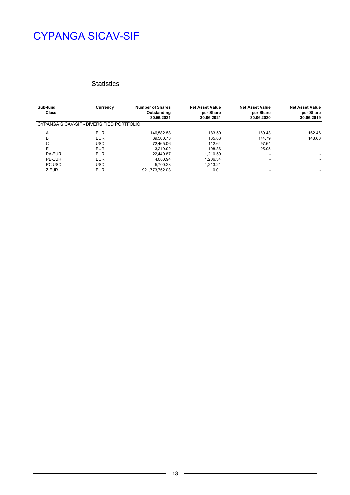### **Statistics**

| Sub-fund<br>Class | Currency                                  | <b>Number of Shares</b><br>Outstanding<br>30.06.2021 | <b>Net Asset Value</b><br>per Share<br>30.06.2021 | <b>Net Asset Value</b><br>per Share<br>30.06.2020 | <b>Net Asset Value</b><br>per Share<br>30.06.2019 |
|-------------------|-------------------------------------------|------------------------------------------------------|---------------------------------------------------|---------------------------------------------------|---------------------------------------------------|
|                   | CYPANGA SICAV-SIF - DIVERSIFIED PORTFOLIO |                                                      |                                                   |                                                   |                                                   |
| A                 | <b>EUR</b>                                | 146.582.58                                           | 183.50                                            | 159.43                                            | 162.46                                            |
| B                 | <b>EUR</b>                                | 39.500.73                                            | 165.83                                            | 144.79                                            | 148.63                                            |
| C                 | <b>USD</b>                                | 72.465.06                                            | 112.64                                            | 97.64                                             | $\overline{\phantom{a}}$                          |
| E                 | <b>EUR</b>                                | 3.219.92                                             | 108.86                                            | 95.05                                             | $\overline{\phantom{a}}$                          |
| <b>PA-EUR</b>     | <b>EUR</b>                                | 22.449.87                                            | 1.210.59                                          |                                                   | $\overline{\phantom{a}}$                          |
| PB-EUR            | <b>EUR</b>                                | 4.080.94                                             | 1.206.34                                          |                                                   | $\overline{\phantom{a}}$                          |
| PC-USD            | <b>USD</b>                                | 5.700.23                                             | 1,213.21                                          | -                                                 | $\overline{\phantom{a}}$                          |
| Z EUR             | <b>EUR</b>                                | 921,773,752.03                                       | 0.01                                              |                                                   | $\overline{\phantom{a}}$                          |

 $\overline{\phantom{a}}$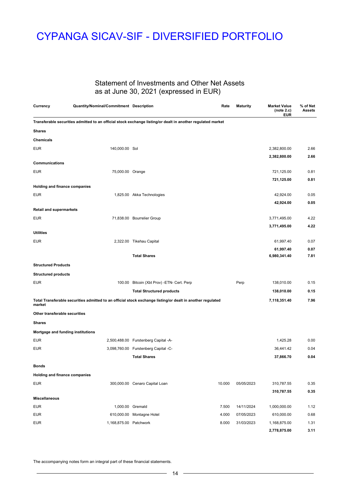### Statement of Investments and Other Net Assets as at June 30, 2021 (expressed in EUR)

| Currency                       | Quantity/Nominal/Commitment Description |                                                                                                             | Rate   | <b>Maturity</b> | <b>Market Value</b><br>(note 2.c)<br>EUR | % of Net<br><b>Assets</b> |
|--------------------------------|-----------------------------------------|-------------------------------------------------------------------------------------------------------------|--------|-----------------|------------------------------------------|---------------------------|
|                                |                                         | Transferable securities admitted to an official stock exchange listing/or dealt in another regulated market |        |                 |                                          |                           |
| <b>Shares</b>                  |                                         |                                                                                                             |        |                 |                                          |                           |
| <b>Chemicals</b>               |                                         |                                                                                                             |        |                 |                                          |                           |
| <b>EUR</b>                     | 140,000.00 Sol                          |                                                                                                             |        |                 | 2,382,800.00                             | 2.66                      |
|                                |                                         |                                                                                                             |        |                 | 2,382,800.00                             | 2.66                      |
| Communications                 |                                         |                                                                                                             |        |                 |                                          |                           |
| <b>EUR</b>                     | 75,000.00 Orange                        |                                                                                                             |        |                 | 721,125.00                               | 0.81                      |
|                                |                                         |                                                                                                             |        |                 | 721,125.00                               | 0.81                      |
| Holding and finance companies  |                                         |                                                                                                             |        |                 |                                          |                           |
| <b>EUR</b>                     |                                         | 1,825.00 Akka Technologies                                                                                  |        |                 | 42,924.00<br>42,924.00                   | 0.05<br>0.05              |
| <b>Retail and supermarkets</b> |                                         |                                                                                                             |        |                 |                                          |                           |
| <b>EUR</b>                     |                                         | 71,838.00 Bourrelier Group                                                                                  |        |                 | 3,771,495.00                             | 4.22                      |
|                                |                                         |                                                                                                             |        |                 | 3,771,495.00                             | 4.22                      |
| <b>Utilities</b>               |                                         |                                                                                                             |        |                 |                                          |                           |
| <b>EUR</b>                     |                                         | 2,322.00 Tikehau Capital                                                                                    |        |                 | 61,997.40                                | 0.07                      |
|                                |                                         |                                                                                                             |        |                 | 61,997.40                                | 0.07                      |
|                                |                                         | <b>Total Shares</b>                                                                                         |        |                 | 6,980,341.40                             | 7.81                      |
| <b>Structured Products</b>     |                                         |                                                                                                             |        |                 |                                          |                           |
| <b>Structured products</b>     |                                         |                                                                                                             |        |                 |                                          |                           |
| <b>EUR</b>                     |                                         | 100.00 Bitcoin (Xbt Prov) - ETN- Cert. Perp                                                                 |        | Perp            | 138,010.00                               | 0.15                      |
|                                |                                         | <b>Total Structured products</b>                                                                            |        |                 | 138,010.00                               | 0.15                      |
| market                         |                                         | Total Transferable securities admitted to an official stock exchange listing/or dealt in another regulated  |        |                 | 7,118,351.40                             | 7.96                      |
| Other transferable securities  |                                         |                                                                                                             |        |                 |                                          |                           |
| <b>Shares</b>                  |                                         |                                                                                                             |        |                 |                                          |                           |
|                                | Mortgage and funding institutions       |                                                                                                             |        |                 |                                          |                           |
| <b>EUR</b>                     |                                         | 2,500,488.00 Furstenberg Capital -A-                                                                        |        |                 | 1,425.28                                 | 0.00                      |
| <b>EUR</b>                     |                                         | 3,098,760.00 Furstenberg Capital -C-                                                                        |        |                 | 36,441.42                                | 0.04                      |
|                                |                                         | <b>Total Shares</b>                                                                                         |        |                 | 37,866.70                                | 0.04                      |
| <b>Bonds</b>                   |                                         |                                                                                                             |        |                 |                                          |                           |
| Holding and finance companies  |                                         |                                                                                                             |        |                 |                                          |                           |
| <b>EUR</b>                     |                                         | 300,000.00 Cenaro Capital Loan                                                                              | 10.000 | 05/05/2023      | 310,787.55                               | 0.35                      |
|                                |                                         |                                                                                                             |        |                 | 310,787.55                               | 0.35                      |
| <b>Miscellaneous</b>           |                                         |                                                                                                             |        |                 |                                          |                           |
| <b>EUR</b>                     |                                         | 1,000.00 Gremald                                                                                            | 7.500  | 14/11/2024      | 1,000,000.00                             | 1.12                      |
| <b>EUR</b>                     |                                         | 610,000.00 Montagne Hotel                                                                                   | 4.000  | 07/05/2023      | 610,000.00                               | 0.68                      |
| <b>EUR</b>                     | 1,168,875.00 Patchwork                  |                                                                                                             | 8.000  | 31/03/2023      | 1,168,875.00                             | 1.31                      |
|                                |                                         |                                                                                                             |        |                 | 2,778,875.00                             | 3.11                      |

The accompanying notes form an integral part of these financial statements.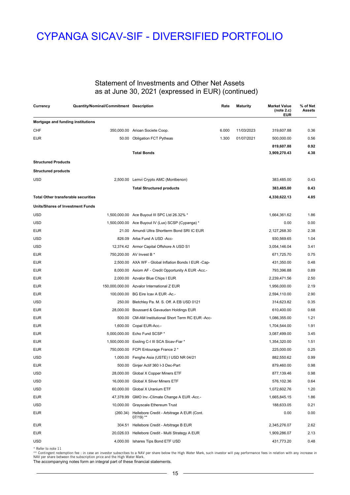### Statement of Investments and Other Net Assets as at June 30, 2021 (expressed in EUR) (continued)

| Currency                                   | Quantity/Nominal/Commitment Description |                                                                             | Rate  | <b>Maturity</b> | <b>Market Value</b><br>(note 2.c)<br><b>EUR</b> | % of Net<br>Assets |
|--------------------------------------------|-----------------------------------------|-----------------------------------------------------------------------------|-------|-----------------|-------------------------------------------------|--------------------|
| Mortgage and funding institutions          |                                         |                                                                             |       |                 |                                                 |                    |
| CHF                                        |                                         | 350,000.00 Arioan Societe Coop.                                             | 6.000 | 11/03/2023      | 319,607.88                                      | 0.36               |
| <b>EUR</b>                                 |                                         | 50.00 Obligation FCT Pytheas                                                | 1.300 | 01/07/2021      | 500,000.00                                      | 0.56               |
|                                            |                                         |                                                                             |       |                 | 819,607.88                                      | 0.92               |
|                                            |                                         | <b>Total Bonds</b>                                                          |       |                 | 3,909,270.43                                    | 4.38               |
| <b>Structured Products</b>                 |                                         |                                                                             |       |                 |                                                 |                    |
| <b>Structured products</b>                 |                                         |                                                                             |       |                 |                                                 |                    |
| USD                                        |                                         | 2,500.00 Lemvi Crypto AMC (Montbenon)                                       |       |                 | 383,485.00                                      | 0.43               |
|                                            |                                         | <b>Total Structured products</b>                                            |       |                 | 383,485.00                                      | 0.43               |
| <b>Total Other transferable securities</b> |                                         |                                                                             |       |                 | 4,330,622.13                                    | 4.85               |
| <b>Units/Shares of Investment Funds</b>    |                                         |                                                                             |       |                 |                                                 |                    |
| USD                                        |                                         | 1,500,000.00 Ace Buyout III SPC Ltd 26.32% *                                |       |                 | 1,664,361.62                                    | 1.86               |
| USD                                        |                                         | 1,500,000.00 Ace Buyout IV (Lux) SCSP (Cypanga) *                           |       |                 | 0.00                                            | 0.00               |
| <b>EUR</b>                                 |                                         | 21.00 Amundi Ultra Shortterm Bond SRI IC EUR                                |       |                 | 2,127,268.30                                    | 2.38               |
| USD                                        |                                         | 826.09 Arba Fund A USD -Acc-                                                |       |                 | 930,569.65                                      | 1.04               |
| USD                                        |                                         | 12,374.42 Armor Capital Offshore A USD S1                                   |       |                 | 3,054,146.04                                    | 3.41               |
| EUR                                        |                                         | 750,200.00 AV Invest B *                                                    |       |                 | 671,725.70                                      | 0.75               |
| <b>EUR</b>                                 |                                         | 2,500.00 AXA WF - Global Inflation Bonds I EUR -Cap-                        |       |                 | 431,350.00                                      | 0.48               |
| <b>EUR</b>                                 |                                         | 8,000.00 Axiom AF - Credit Opportunity A EUR -Acc.-                         |       |                 | 793,396.88                                      | 0.89               |
| EUR                                        |                                         | 2,000.00 Azvalor Blue Chips I EUR                                           |       |                 | 2,239,471.56                                    | 2.50               |
| EUR                                        |                                         | 150,000,000.00 Azvalor International Z EUR                                  |       |                 | 1,956,000.00                                    | 2.19               |
| <b>EUR</b>                                 |                                         | 100,000.00 BG Eire Icav A EUR -Ac.-                                         |       |                 | 2,594,110.00                                    | 2.90               |
| <b>USD</b>                                 |                                         | 250.00 Bletchley Pa. M. S. Off. A EB USD 0121                               |       |                 | 314,623.82                                      | 0.35               |
| <b>EUR</b>                                 |                                         | 28,000.00 Boussard & Gavaudan Holdings EUR                                  |       |                 | 610,400.00                                      | 0.68               |
| EUR                                        |                                         | 500.00 CM-AM Institutional Short Term RC EUR -Acc-                          |       |                 | 1,086,355.00                                    | 1.21               |
| <b>EUR</b>                                 |                                         | 1,600.00 Copal EUR-Acc.-                                                    |       |                 | 1,704,544.00                                    | 1.91               |
| <b>EUR</b>                                 |                                         | 5,000,000.00 Echo Fund SCSP *                                               |       |                 | 3,087,499.00                                    | 3.45               |
| EUR                                        |                                         | 1,500,000.00 Essling C-I III SCA Sicav-Fiar *                               |       |                 | 1,354,320.00                                    | 1.51               |
| EUR                                        |                                         | 750,000.00 FCPI Entourage France 2 *                                        |       |                 | 225,000.00                                      | 0.25               |
| USD                                        |                                         | 1,000.00 Fenghe Asia (USTE) I USD NR 04/21                                  |       |                 | 882,550.62                                      | 0.99               |
| <b>EUR</b>                                 |                                         | 500.00 Ginjer Actif 360 I-3 Dec-Part                                        |       |                 | 879,460.00                                      | 0.98               |
| <b>USD</b>                                 |                                         | 28,000.00 Global X Copper Miners ETF                                        |       |                 | 877,139.46                                      | 0.98               |
| <b>USD</b>                                 |                                         | 16,000.00 Global X Silver Miners ETF                                        |       |                 | 576,102.36                                      | 0.64               |
| <b>USD</b>                                 |                                         | 60,000.00 Global X Uranium ETF                                              |       |                 | 1,072,602.76                                    | 1.20               |
| <b>EUR</b>                                 |                                         | 47,378.99 GMO Inv.-Climate Change A EUR -Acc.-                              |       |                 | 1,665,845.15                                    | 1.86               |
| USD                                        |                                         | 10,000.00 Grayscale Ethereum Trust                                          |       |                 | 188,633.05                                      | 0.21               |
| EUR                                        |                                         | (260.34) Hellebore Credit - Arbitrage A EUR (Cont.<br>$07/19$ <sup>**</sup> |       |                 | 0.00                                            | 0.00               |
| <b>EUR</b>                                 |                                         | 304.51 Hellebore Credit - Arbitrage B EUR                                   |       |                 | 2,345,276.07                                    | 2.62               |
| EUR                                        |                                         | 20,026.03 Hellebore Credit - Multi Strategy A EUR                           |       |                 | 1,909,286.07                                    | 2.13               |
| <b>USD</b>                                 |                                         | 4,000.00 Ishares Tips Bond ETF USD                                          |       |                 | 431,773.20                                      | 0.48               |

The accompanying notes form an integral part of these financial statements. \* Refer to note 11<br>\*\* Contingent redemption fee : in case an investor subscribes to a NAV per share below the High Water Mark, such investor will pay performance fees in relation with any increase in<br>NAV per share between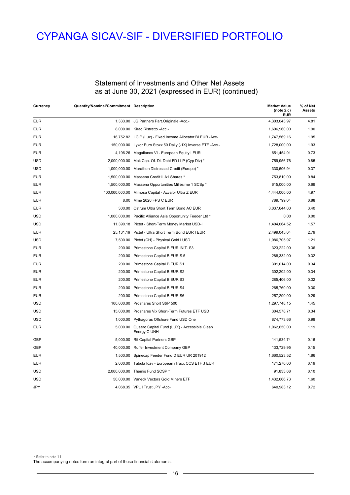### Statement of Investments and Other Net Assets as at June 30, 2021 (expressed in EUR) (continued)

| Currency   | Quantity/Nominal/Commitment Description |                                                               | <b>Market Value</b><br>(note 2.c)<br><b>EUR</b> | % of Net<br><b>Assets</b> |
|------------|-----------------------------------------|---------------------------------------------------------------|-------------------------------------------------|---------------------------|
| <b>EUR</b> | 1,333.00                                | JG Partners Part.Originale -Acc.-                             | 4,303,043.97                                    | 4.81                      |
| <b>EUR</b> |                                         | 8,000.00 Kirao Ristretto - Acc.-                              | 1,696,960.00                                    | 1.90                      |
| <b>EUR</b> |                                         | 16,752.82 LGIP (Lux) - Fixed Income Allocator BI EUR -Acc-    | 1,747,569.16                                    | 1.95                      |
| <b>EUR</b> |                                         | 150,000.00 Lyxor Euro Stoxx 50 Daily (-1X) Inverse ETF -Acc.- | 1,728,000.00                                    | 1.93                      |
| <b>EUR</b> |                                         | 4,196.26 Magallanes VI - European Equity I EUR                | 651,454.91                                      | 0.73                      |
| <b>USD</b> |                                         | 2,000,000.00 Mak Cap. Of. Di. Debt FD I LP (Cyp Div) *        | 759,956.76                                      | 0.85                      |
| <b>USD</b> |                                         | 1,000,000.00 Marathon Distressed Credit (Europe) *            | 330,506.94                                      | 0.37                      |
| <b>EUR</b> |                                         | 1,500,000.00 Massena Credit II A1 Shares *                    | 753,810.00                                      | 0.84                      |
| <b>EUR</b> |                                         | 1,500,000.00 Massena Opportunities Millésime 1 SCSp *         | 615,000.00                                      | 0.69                      |
| <b>EUR</b> |                                         | 400,000,000.00 Mimosa Capital - Azvalor Ultra Z EUR           | 4,444,000.00                                    | 4.97                      |
| <b>EUR</b> |                                         | 8.00 Mme 2026 FPS C EUR                                       | 789,799.04                                      | 0.88                      |
| <b>EUR</b> |                                         | 300.00 Ostrum Ultra Short Term Bond AC EUR                    | 3,037,644.00                                    | 3.40                      |
| <b>USD</b> |                                         | 1,000,000.00 Pacific Alliance Asia Opportunity Feeder Ltd *   | 0.00                                            | 0.00                      |
| <b>USD</b> |                                         | 11,390.18 Pictet - Short-Term Money Market USD-I              | 1,404,064.52                                    | 1.57                      |
| <b>EUR</b> |                                         | 25,131.19 Pictet - Ultra Short Term Bond EUR I EUR            | 2,499,045.04                                    | 2.79                      |
| USD        |                                         | 7,500.00 Pictet (CH) - Physical Gold I USD                    | 1,086,705.97                                    | 1.21                      |
| <b>EUR</b> |                                         | 200.00 Primestone Capital B EUR INIT. S3                      | 323,222.00                                      | 0.36                      |
| <b>EUR</b> |                                         | 200.00 Primestone Capital B EUR S.5                           | 288,332.00                                      | 0.32                      |
| <b>EUR</b> |                                         | 200.00 Primestone Capital B EUR S1                            | 301,014.00                                      | 0.34                      |
| <b>EUR</b> |                                         | 200.00 Primestone Capital B EUR S2                            | 302,202.00                                      | 0.34                      |
| <b>EUR</b> |                                         | 200.00 Primestone Capital B EUR S3                            | 285,406.00                                      | 0.32                      |
| <b>EUR</b> |                                         | 200.00 Primestone Capital B EUR S4                            | 265,760.00                                      | 0.30                      |
| <b>EUR</b> |                                         | 200.00 Primestone Capital B EUR S6                            | 257,290.00                                      | 0.29                      |
| <b>USD</b> |                                         | 100,000.00 Proshares Short S&P 500                            | 1,297,748.15                                    | 1.45                      |
| <b>USD</b> |                                         | 15,000.00 Proshares Vix Short-Term Futures ETF USD            | 304,578.71                                      | 0.34                      |
| <b>USD</b> |                                         | 1,000.00 Pythagoras Offshore Fund USD One                     | 874,773.66                                      | 0.98                      |
| <b>EUR</b> | 5.000.00                                | Quaero Capital Fund (LUX) - Accessible Clean<br>Energy C UNH  | 1,062,650.00                                    | 1.19                      |
| GBP        |                                         | 5,000.00 Rit Capital Partners GBP                             | 141,534.74                                      | 0.16                      |
| <b>GBP</b> |                                         | 40,000.00 Ruffer Investment Company GBP                       | 133,729.95                                      | 0.15                      |
| <b>EUR</b> |                                         | 1,500.00 Spinecap Feeder Fund D EUR UR 201912                 | 1,660,523.52                                    | 1.86                      |
| <b>EUR</b> |                                         | 2,000.00 Tabula Icav - European iTraxx CCS ETF J EUR          | 171,270.00                                      | 0.19                      |
| <b>USD</b> |                                         | 2,000,000.00 Themis Fund SCSP *                               | 91,833.68                                       | 0.10                      |
| <b>USD</b> |                                         | 50,000.00 Vaneck Vectors Gold Miners ETF                      | 1,432,666.73                                    | 1.60                      |
| <b>JPY</b> |                                         | 4,068.35 VPL I Trust JPY -Acc-                                | 640,983.12                                      | 0.72                      |

The accompanying notes form an integral part of these financial statements. \* Refer to note 11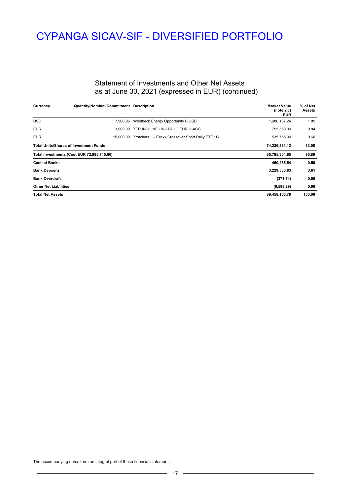### Statement of Investments and Other Net Assets as at June 30, 2021 (expressed in EUR) (continued)

| Currency                     | Quantity/Nominal/Commitment Description       |                                                              | <b>Market Value</b><br>(note 2.c)<br><b>EUR</b> | % of Net<br>Assets |
|------------------------------|-----------------------------------------------|--------------------------------------------------------------|-------------------------------------------------|--------------------|
| <b>USD</b>                   | 7,960.96                                      | Westbeck Energy Opportunity B USD                            | 1,688,137.24                                    | 1.89               |
| <b>EUR</b>                   |                                               | 3.000.00 XTR.II-GL.INF.LINK.BD1C EUR H-ACC                   | 755,550.00                                      | 0.84               |
| <b>EUR</b>                   |                                               | 15,000.00 Xtrackers II - iTraxx Crossover Short Daily ETF 1C | 535,755.00                                      | 0.60               |
|                              | <b>Total Units/Shares of Investment Funds</b> |                                                              | 74,336,331.12                                   | 83.08              |
|                              | Total Investments (Cost EUR 72,985,740.66)    |                                                              | 85,785,304.65                                   | 95.89              |
| <b>Cash at Banks</b>         |                                               |                                                              | 450,285.54                                      | 0.50               |
| <b>Bank Deposits</b>         |                                               |                                                              | 3,229,530.63                                    | 3.61               |
| <b>Bank Overdraft</b>        |                                               |                                                              | (371.74)                                        | 0.00               |
| <b>Other Net Liabilities</b> |                                               |                                                              | (6,588.29)                                      | 0.00               |
| <b>Total Net Assets</b>      |                                               |                                                              | 89,458,160.79                                   | 100.00             |

The accompanying notes form an integral part of these financial statements.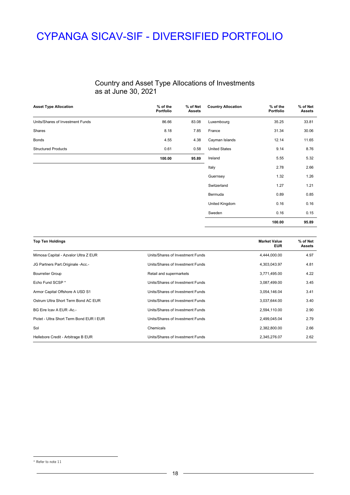### Country and Asset Type Allocations of Investments as at June 30, 2021

| <b>Asset Type Allocation</b>     | % of the<br>Portfolio | % of Net<br><b>Assets</b> | <b>Country Allocation</b> | % of the<br>Portfolio | % of Net<br><b>Assets</b> |
|----------------------------------|-----------------------|---------------------------|---------------------------|-----------------------|---------------------------|
| Units/Shares of Investment Funds | 86.66                 | 83.08                     | Luxembourg                | 35.25                 | 33.81                     |
| Shares                           | 8.18                  | 7.85                      | France                    | 31.34                 | 30.06                     |
| Bonds                            | 4.55                  | 4.38                      | Cayman Islands            | 12.14                 | 11.65                     |
| <b>Structured Products</b>       | 0.61                  | 0.58                      | <b>United States</b>      | 9.14                  | 8.76                      |
|                                  | 100.00                | 95.89                     | Ireland                   | 5.55                  | 5.32                      |
|                                  |                       |                           | Italy                     | 2.78                  | 2.66                      |
|                                  |                       |                           | Guernsey                  | 1.32                  | 1.26                      |
|                                  |                       |                           | Switzerland               | 1.27                  | 1.21                      |
|                                  |                       |                           | Bermuda                   | 0.89                  | 0.85                      |
|                                  |                       |                           | United Kingdom            | 0.16                  | 0.16                      |
|                                  |                       |                           | Sweden                    | 0.16                  | 0.15                      |
|                                  |                       |                           |                           | 100.00                | 95.89                     |

| <b>Top Ten Holdings</b>                  |                                  | <b>Market Value</b><br><b>EUR</b> | % of Net<br><b>Assets</b> |
|------------------------------------------|----------------------------------|-----------------------------------|---------------------------|
| Mimosa Capital - Azvalor Ultra Z EUR     | Units/Shares of Investment Funds | 4,444,000.00                      | 4.97                      |
| JG Partners Part.Originale -Acc.-        | Units/Shares of Investment Funds | 4,303,043.97                      | 4.81                      |
| <b>Bourrelier Group</b>                  | Retail and supermarkets          | 3,771,495.00                      | 4.22                      |
| Echo Fund SCSP *                         | Units/Shares of Investment Funds | 3,087,499.00                      | 3.45                      |
| Armor Capital Offshore A USD S1          | Units/Shares of Investment Funds | 3,054,146.04                      | 3.41                      |
| Ostrum Ultra Short Term Bond AC EUR      | Units/Shares of Investment Funds | 3,037,644.00                      | 3.40                      |
| BG Eire Icav A EUR -Ac.-                 | Units/Shares of Investment Funds | 2,594,110.00                      | 2.90                      |
| Pictet - Ultra Short Term Bond EUR I EUR | Units/Shares of Investment Funds | 2,499,045.04                      | 2.79                      |
| Sol                                      | Chemicals                        | 2,382,800.00                      | 2.66                      |
| Hellebore Credit - Arbitrage B EUR       | Units/Shares of Investment Funds | 2,345,276.07                      | 2.62                      |

 $\overline{a}$ 

<sup>\*</sup> Refer to note 11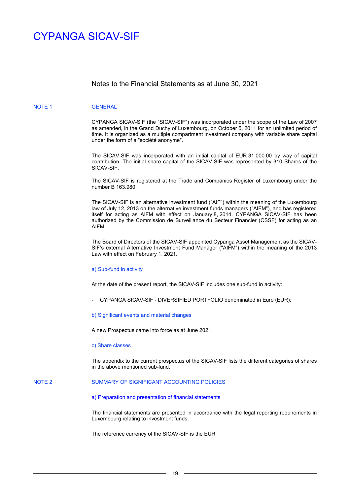### Notes to the Financial Statements as at June 30, 2021

#### NOTE 1 GENERAL

CYPANGA SICAV-SIF (the "SICAV-SIF") was incorporated under the scope of the Law of 2007 as amended, in the Grand Duchy of Luxembourg, on October 5, 2011 for an unlimited period of time. It is organized as a multiple compartment investment company with variable share capital under the form of a "société anonyme".

The SICAV-SIF was incorporated with an initial capital of EUR 31,000.00 by way of capital contribution. The initial share capital of the SICAV-SIF was represented by 310 Shares of the SICAV-SIF.

The SICAV-SIF is registered at the Trade and Companies Register of Luxembourg under the number B 163.980.

The SICAV-SIF is an alternative investment fund ("AIF") within the meaning of the Luxembourg law of July 12, 2013 on the alternative investment funds managers ("AIFM"), and has registered itself for acting as AIFM with effect on January 8, 2014. CYPANGA SICAV-SIF has been authorized by the Commission de Surveillance du Secteur Financier (CSSF) for acting as an AIFM.

The Board of Directors of the SICAV-SIF appointed Cypanga Asset Management as the SICAV-SIF's external Alternative Investment Fund Manager ("AIFM") within the meaning of the 2013 Law with effect on February 1, 2021.

#### a) Sub-fund in activity

At the date of the present report, the SICAV-SIF includes one sub-fund in activity:

- CYPANGA SICAV-SIF - DIVERSIFIED PORTFOLIO denominated in Euro (EUR);

b) Significant events and material changes

A new Prospectus came into force as at June 2021.

#### c) Share classes

The appendix to the current prospectus of the SICAV-SIF lists the different categories of shares in the above mentioned sub-fund.

#### NOTE 2 SUMMARY OF SIGNIFICANT ACCOUNTING POLICIES

a) Preparation and presentation of financial statements

The financial statements are presented in accordance with the legal reporting requirements in Luxembourg relating to investment funds.

The reference currency of the SICAV-SIF is the EUR.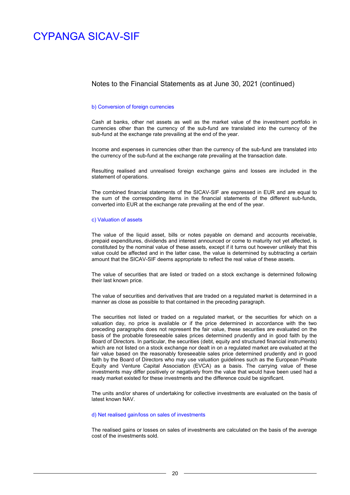### Notes to the Financial Statements as at June 30, 2021 (continued)

#### b) Conversion of foreign currencies

Cash at banks, other net assets as well as the market value of the investment portfolio in currencies other than the currency of the sub-fund are translated into the currency of the sub-fund at the exchange rate prevailing at the end of the year.

Income and expenses in currencies other than the currency of the sub-fund are translated into the currency of the sub-fund at the exchange rate prevailing at the transaction date.

Resulting realised and unrealised foreign exchange gains and losses are included in the statement of operations.

The combined financial statements of the SICAV-SIF are expressed in EUR and are equal to the sum of the corresponding items in the financial statements of the different sub-funds, converted into EUR at the exchange rate prevailing at the end of the year.

#### c) Valuation of assets

The value of the liquid asset, bills or notes payable on demand and accounts receivable, prepaid expenditures, dividends and interest announced or come to maturity not yet affected, is constituted by the nominal value of these assets, except if it turns out however unlikely that this value could be affected and in the latter case, the value is determined by subtracting a certain amount that the SICAV-SIF deems appropriate to reflect the real value of these assets.

The value of securities that are listed or traded on a stock exchange is determined following their last known price.

The value of securities and derivatives that are traded on a regulated market is determined in a manner as close as possible to that contained in the preceding paragraph.

The securities not listed or traded on a regulated market, or the securities for which on a valuation day, no price is available or if the price determined in accordance with the two preceding paragraphs does not represent the fair value, these securities are evaluated on the basis of the probable foreseeable sales prices determined prudently and in good faith by the Board of Directors. In particular, the securities (debt, equity and structured financial instruments) which are not listed on a stock exchange nor dealt in on a regulated market are evaluated at the fair value based on the reasonably foreseeable sales price determined prudently and in good faith by the Board of Directors who may use valuation guidelines such as the European Private Equity and Venture Capital Association (EVCA) as a basis. The carrying value of these investments may differ positively or negatively from the value that would have been used had a ready market existed for these investments and the difference could be significant.

The units and/or shares of undertaking for collective investments are evaluated on the basis of latest known NAV.

#### d) Net realised gain/loss on sales of investments

The realised gains or losses on sales of investments are calculated on the basis of the average cost of the investments sold.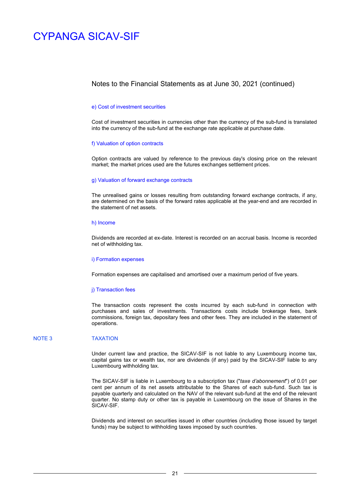### Notes to the Financial Statements as at June 30, 2021 (continued)

#### e) Cost of investment securities

Cost of investment securities in currencies other than the currency of the sub-fund is translated into the currency of the sub-fund at the exchange rate applicable at purchase date.

#### f) Valuation of option contracts

Option contracts are valued by reference to the previous day's closing price on the relevant market; the market prices used are the futures exchanges settlement prices.

#### g) Valuation of forward exchange contracts

The unrealised gains or losses resulting from outstanding forward exchange contracts, if any, are determined on the basis of the forward rates applicable at the year-end and are recorded in the statement of net assets.

#### h) Income

Dividends are recorded at ex-date. Interest is recorded on an accrual basis. Income is recorded net of withholding tax.

#### i) Formation expenses

Formation expenses are capitalised and amortised over a maximum period of five years.

#### j) Transaction fees

The transaction costs represent the costs incurred by each sub-fund in connection with purchases and sales of investments. Transactions costs include brokerage fees, bank commissions, foreign tax, depositary fees and other fees. They are included in the statement of operations.

#### NOTE 3 TAXATION

Under current law and practice, the SICAV-SIF is not liable to any Luxembourg income tax, capital gains tax or wealth tax, nor are dividends (if any) paid by the SICAV-SIF liable to any Luxembourg withholding tax.

The SICAV-SIF is liable in Luxembourg to a subscription tax ("*taxe d'abonnement*") of 0.01 per cent per annum of its net assets attributable to the Shares of each sub-fund. Such tax is payable quarterly and calculated on the NAV of the relevant sub-fund at the end of the relevant quarter. No stamp duty or other tax is payable in Luxembourg on the issue of Shares in the SICAV-SIF.

Dividends and interest on securities issued in other countries (including those issued by target funds) may be subject to withholding taxes imposed by such countries.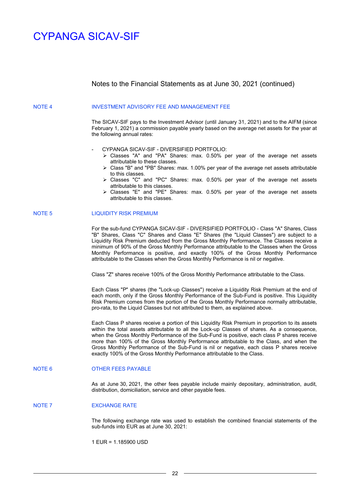### Notes to the Financial Statements as at June 30, 2021 (continued)

#### NOTE 4 INVESTMENT ADVISORY FEE AND MANAGEMENT FEE

The SICAV-SIF pays to the Investment Advisor (until January 31, 2021) and to the AIFM (since February 1, 2021) a commission payable yearly based on the average net assets for the year at the following annual rates:

- CYPANGA SICAV-SIF DIVERSIFIED PORTFOLIO:
	- Classes "A" and "PA" Shares: max. 0.50% per year of the average net assets attributable to these classes.
	- Class "B" and "PB" Shares: max. 1.00% per year of the average net assets attributable to this classes.
	- $\triangleright$  Classes "C" and "PC" Shares: max. 0.50% per year of the average net assets attributable to this classes.
	- Classes "E" and "PE" Shares: max. 0.50% per year of the average net assets attributable to this classes.

#### NOTE 5 LIQUIDITY RISK PREMIUM

For the sub-fund CYPANGA SICAV-SIF - DIVERSIFIED PORTFOLIO - Class "A" Shares, Class "B" Shares, Class "C" Shares and Class "E" Shares (the "Liquid Classes") are subject to a Liquidity Risk Premium deducted from the Gross Monthly Performance. The Classes receive a minimum of 90% of the Gross Monthly Performance attributable to the Classes when the Gross Monthly Performance is positive, and exactly 100% of the Gross Monthly Performance attributable to the Classes when the Gross Monthly Performance is nil or negative.

Class "Z" shares receive 100% of the Gross Monthly Performance attributable to the Class.

Each Class "P" shares (the "Lock-up Classes") receive a Liquidity Risk Premium at the end of each month, only if the Gross Monthly Performance of the Sub-Fund is positive. This Liquidity Risk Premium comes from the portion of the Gross Monthly Performance normally attributable, pro-rata, to the Liquid Classes but not attributed to them, as explained above.

Each Class P shares receive a portion of this Liquidity Risk Premium in proportion to its assets within the total assets attributable to all the Lock-up Classes of shares. As a consequence, when the Gross Monthly Performance of the Sub-Fund is positive, each class P shares receive more than 100% of the Gross Monthly Performance attributable to the Class, and when the Gross Monthly Performance of the Sub-Fund is nil or negative, each class P shares receive exactly 100% of the Gross Monthly Performance attributable to the Class.

#### NOTE 6 **OTHER FEES PAYABLE**

As at June 30, 2021, the other fees payable include mainly depositary, administration, audit, distribution, domiciliation, service and other payable fees.

#### NOTE 7 EXCHANGE RATE

The following exchange rate was used to establish the combined financial statements of the sub-funds into EUR as at June 30, 2021:

1 EUR = 1.185900 USD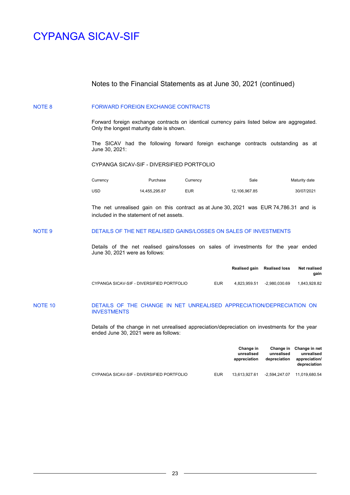### Notes to the Financial Statements as at June 30, 2021 (continued)

#### NOTE 8 FORWARD FOREIGN EXCHANGE CONTRACTS

Forward foreign exchange contracts on identical currency pairs listed below are aggregated. Only the longest maturity date is shown.

The SICAV had the following forward foreign exchange contracts outstanding as at June 30, 2021:

#### CYPANGA SICAV-SIF - DIVERSIFIED PORTFOLIO

| Currency   | Purchase      | Currency | Sale          | Maturity date |
|------------|---------------|----------|---------------|---------------|
| <b>USD</b> | 14.455.295.87 | EUR      | 12.106.967.85 | 30/07/2021    |

The net unrealised gain on this contract as at June 30, 2021 was EUR 74,786.31 and is included in the statement of net assets.

#### NOTE 9 DETAILS OF THE NET REALISED GAINS/LOSSES ON SALES OF INVESTMENTS

Details of the net realised gains/losses on sales of investments for the year ended June 30, 2021 were as follows:

|                                           |            |              | Realised gain Realised loss | Net realised<br>gain |
|-------------------------------------------|------------|--------------|-----------------------------|----------------------|
| CYPANGA SICAV-SIF - DIVERSIFIED PORTFOLIO | <b>EUR</b> | 4.823.959.51 | -2.980.030.69               | 1.843.928.82         |

#### NOTE 10 DETAILS OF THE CHANGE IN NET UNREALISED APPRECIATION/DEPRECIATION ON **INVESTMENTS**

Details of the change in net unrealised appreciation/depreciation on investments for the year ended June 30, 2021 were as follows:

|                                           |            | <b>Change in</b><br>unrealised<br>appreciation | unrealised<br>depreciation | Change in Change in net<br>unrealised<br>appreciation/<br>depreciation |
|-------------------------------------------|------------|------------------------------------------------|----------------------------|------------------------------------------------------------------------|
| CYPANGA SICAV-SIF - DIVERSIFIED PORTFOLIO | <b>EUR</b> | 13.613.927.61                                  | -2.594.247.07              | 11.019.680.54                                                          |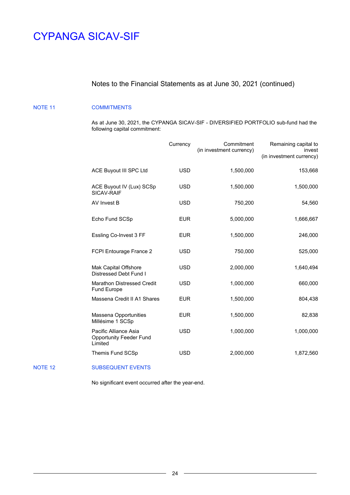### Notes to the Financial Statements as at June 30, 2021 (continued)

### NOTE 11 COMMITMENTS

As at June 30, 2021, the CYPANGA SICAV-SIF - DIVERSIFIED PORTFOLIO sub-fund had the following capital commitment:

|                                                                    | Currency   | Commitment<br>(in investment currency) | Remaining capital to<br>invest<br>(in investment currency) |
|--------------------------------------------------------------------|------------|----------------------------------------|------------------------------------------------------------|
| <b>ACE Buyout III SPC Ltd</b>                                      | <b>USD</b> | 1,500,000                              | 153,668                                                    |
| ACE Buyout IV (Lux) SCSp<br>SICAV-RAIF                             | <b>USD</b> | 1,500,000                              | 1,500,000                                                  |
| AV Invest B                                                        | <b>USD</b> | 750,200                                | 54,560                                                     |
| Echo Fund SCSp                                                     | <b>EUR</b> | 5,000,000                              | 1,666,667                                                  |
| Essling Co-Invest 3 FF                                             | <b>EUR</b> | 1,500,000                              | 246,000                                                    |
| <b>FCPI Entourage France 2</b>                                     | <b>USD</b> | 750,000                                | 525,000                                                    |
| Mak Capital Offshore<br>Distressed Debt Fund I                     | <b>USD</b> | 2,000,000                              | 1,640,494                                                  |
| <b>Marathon Distressed Credit</b><br><b>Fund Europe</b>            | <b>USD</b> | 1,000,000                              | 660,000                                                    |
| Massena Credit II A1 Shares                                        | <b>EUR</b> | 1,500,000                              | 804,438                                                    |
| Massena Opportunities<br>Millésime 1 SCSp                          | <b>EUR</b> | 1,500,000                              | 82,838                                                     |
| Pacific Alliance Asia<br><b>Opportunity Feeder Fund</b><br>Limited | <b>USD</b> | 1,000,000                              | 1,000,000                                                  |
| Themis Fund SCSp                                                   | <b>USD</b> | 2,000,000                              | 1,872,560                                                  |

### NOTE 12 SUBSEQUENT EVENTS

No significant event occurred after the year-end.

 $\overline{\phantom{0}}$